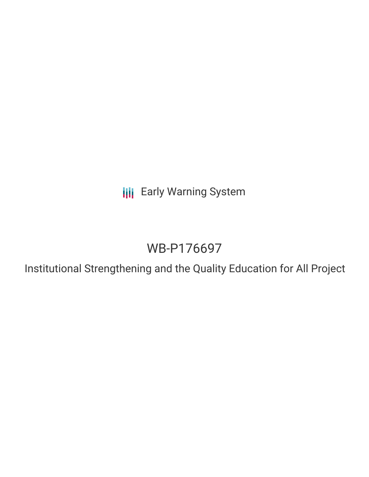**III** Early Warning System

# WB-P176697

Institutional Strengthening and the Quality Education for All Project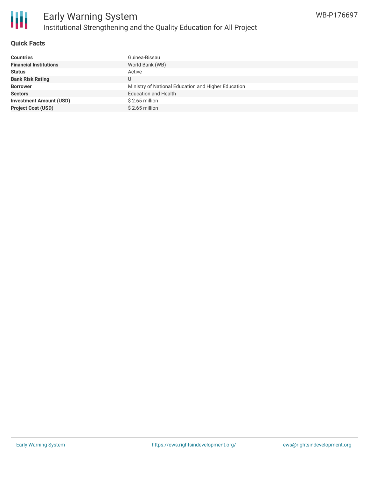

#### **Quick Facts**

| <b>Countries</b>               | Guinea-Bissau                                       |
|--------------------------------|-----------------------------------------------------|
| <b>Financial Institutions</b>  | World Bank (WB)                                     |
| <b>Status</b>                  | Active                                              |
| <b>Bank Risk Rating</b>        | U                                                   |
| <b>Borrower</b>                | Ministry of National Education and Higher Education |
| <b>Sectors</b>                 | <b>Education and Health</b>                         |
| <b>Investment Amount (USD)</b> | $$2.65$ million                                     |
| <b>Project Cost (USD)</b>      | $$2.65$ million                                     |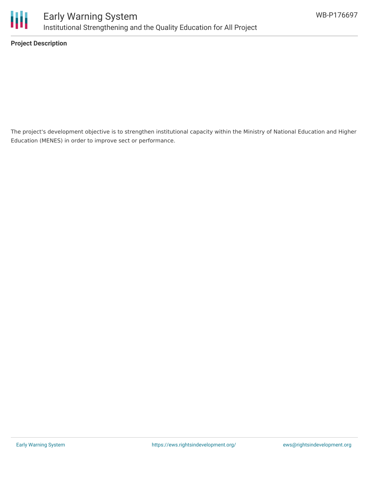

**Project Description**

The project's development objective is to strengthen institutional capacity within the Ministry of National Education and Higher Education (MENES) in order to improve sect or performance.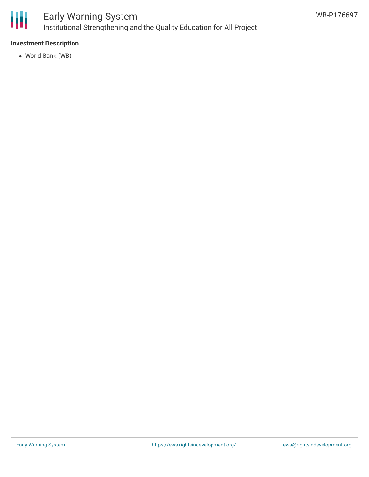

### Early Warning System Institutional Strengthening and the Quality Education for All Project

#### **Investment Description**

World Bank (WB)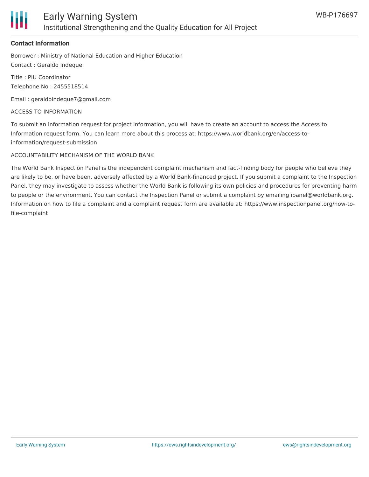

#### **Contact Information**

Borrower : Ministry of National Education and Higher Education Contact : Geraldo Indeque

Title : PIU Coordinator Telephone No : 2455518514

Email : geraldoindeque7@gmail.com

ACCESS TO INFORMATION

To submit an information request for project information, you will have to create an account to access the Access to Information request form. You can learn more about this process at: https://www.worldbank.org/en/access-toinformation/request-submission

#### ACCOUNTABILITY MECHANISM OF THE WORLD BANK

The World Bank Inspection Panel is the independent complaint mechanism and fact-finding body for people who believe they are likely to be, or have been, adversely affected by a World Bank-financed project. If you submit a complaint to the Inspection Panel, they may investigate to assess whether the World Bank is following its own policies and procedures for preventing harm to people or the environment. You can contact the Inspection Panel or submit a complaint by emailing ipanel@worldbank.org. Information on how to file a complaint and a complaint request form are available at: https://www.inspectionpanel.org/how-tofile-complaint